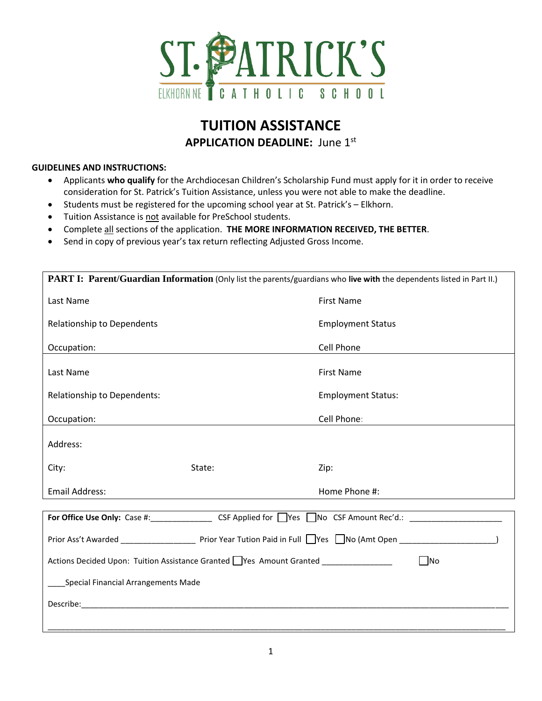

## **TUITION ASSISTANCE APPLICATION DEADLINE: June 1st**

## **GUIDELINES AND INSTRUCTIONS:**

- Applicants **who qualify** for the Archdiocesan Children's Scholarship Fund must apply for it in order to receive consideration for St. Patrick's Tuition Assistance, unless you were not able to make the deadline.
- Students must be registered for the upcoming school year at St. Patrick's Elkhorn.
- Tuition Assistance is not available for PreSchool students.
- Complete all sections of the application. **THE MORE INFORMATION RECEIVED, THE BETTER**.
- Send in copy of previous year's tax return reflecting Adjusted Gross Income.

| PART I: Parent/Guardian Information (Only list the parents/guardians who live with the dependents listed in Part II.) |        |                           |  |  |
|-----------------------------------------------------------------------------------------------------------------------|--------|---------------------------|--|--|
| Last Name                                                                                                             |        | <b>First Name</b>         |  |  |
| <b>Relationship to Dependents</b>                                                                                     |        | <b>Employment Status</b>  |  |  |
| Occupation:                                                                                                           |        | Cell Phone                |  |  |
| Last Name                                                                                                             |        | <b>First Name</b>         |  |  |
| Relationship to Dependents:                                                                                           |        | <b>Employment Status:</b> |  |  |
| Occupation:                                                                                                           |        | Cell Phone:               |  |  |
| Address:                                                                                                              |        |                           |  |  |
| City:                                                                                                                 | State: | Zip:                      |  |  |
| <b>Email Address:</b>                                                                                                 |        | Home Phone #:             |  |  |
|                                                                                                                       |        |                           |  |  |
|                                                                                                                       |        |                           |  |  |
|                                                                                                                       |        |                           |  |  |
| Actions Decided Upon: Tuition Assistance Granted Ves Amount Granted _____________<br>$\Box$ No                        |        |                           |  |  |
| <b>Special Financial Arrangements Made</b>                                                                            |        |                           |  |  |
|                                                                                                                       |        |                           |  |  |
|                                                                                                                       |        |                           |  |  |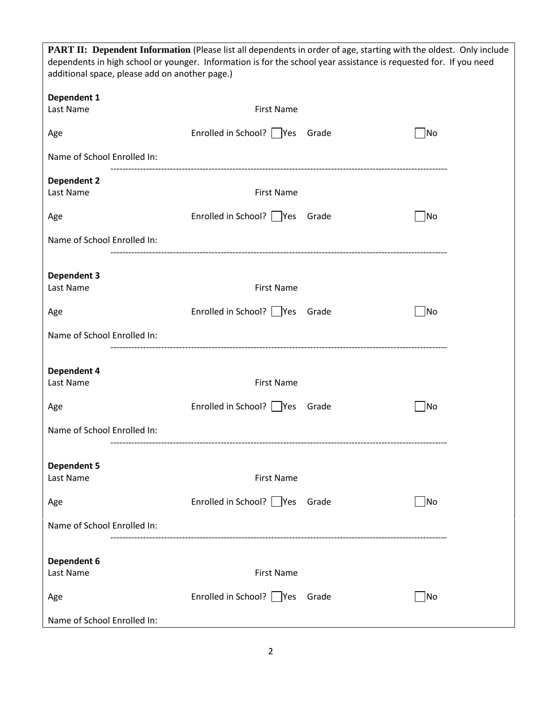| PART II: Dependent Information (Please list all dependents in order of age, starting with the oldest. Only include<br>dependents in high school or younger. Information is for the school year assistance is requested for. If you need<br>additional space, please add on another page.) |                                     |  |                |  |  |
|-------------------------------------------------------------------------------------------------------------------------------------------------------------------------------------------------------------------------------------------------------------------------------------------|-------------------------------------|--|----------------|--|--|
| Dependent 1<br>Last Name                                                                                                                                                                                                                                                                  | <b>First Name</b>                   |  |                |  |  |
| Age                                                                                                                                                                                                                                                                                       | Enrolled in School?     Yes Grade   |  | No             |  |  |
| Name of School Enrolled In:                                                                                                                                                                                                                                                               |                                     |  |                |  |  |
| <b>Dependent 2</b>                                                                                                                                                                                                                                                                        |                                     |  |                |  |  |
| Last Name                                                                                                                                                                                                                                                                                 | <b>First Name</b>                   |  |                |  |  |
| Age                                                                                                                                                                                                                                                                                       | Enrolled in School?     Yes Grade   |  | N <sub>o</sub> |  |  |
| Name of School Enrolled In:                                                                                                                                                                                                                                                               |                                     |  |                |  |  |
| <b>Dependent 3</b>                                                                                                                                                                                                                                                                        |                                     |  |                |  |  |
| Last Name                                                                                                                                                                                                                                                                                 | <b>First Name</b>                   |  |                |  |  |
| Age                                                                                                                                                                                                                                                                                       | Enrolled in School?   Yes Grade     |  | N <sub>o</sub> |  |  |
| Name of School Enrolled In:                                                                                                                                                                                                                                                               |                                     |  |                |  |  |
| Dependent 4                                                                                                                                                                                                                                                                               |                                     |  |                |  |  |
| Last Name                                                                                                                                                                                                                                                                                 | <b>First Name</b>                   |  |                |  |  |
| Age                                                                                                                                                                                                                                                                                       | Enrolled in School?   Yes Grade     |  | No             |  |  |
| Name of School Enrolled In:                                                                                                                                                                                                                                                               |                                     |  |                |  |  |
| <b>Dependent 5</b>                                                                                                                                                                                                                                                                        |                                     |  |                |  |  |
| Last Name                                                                                                                                                                                                                                                                                 | <b>First Name</b>                   |  |                |  |  |
| Age                                                                                                                                                                                                                                                                                       | Enrolled in School? Yes Grade       |  | No             |  |  |
| Name of School Enrolled In:                                                                                                                                                                                                                                                               |                                     |  |                |  |  |
| Dependent 6                                                                                                                                                                                                                                                                               |                                     |  |                |  |  |
| Last Name                                                                                                                                                                                                                                                                                 | <b>First Name</b>                   |  |                |  |  |
| Age                                                                                                                                                                                                                                                                                       | Enrolled in School?       Yes Grade |  | N <sub>o</sub> |  |  |
| Name of School Enrolled In:                                                                                                                                                                                                                                                               |                                     |  |                |  |  |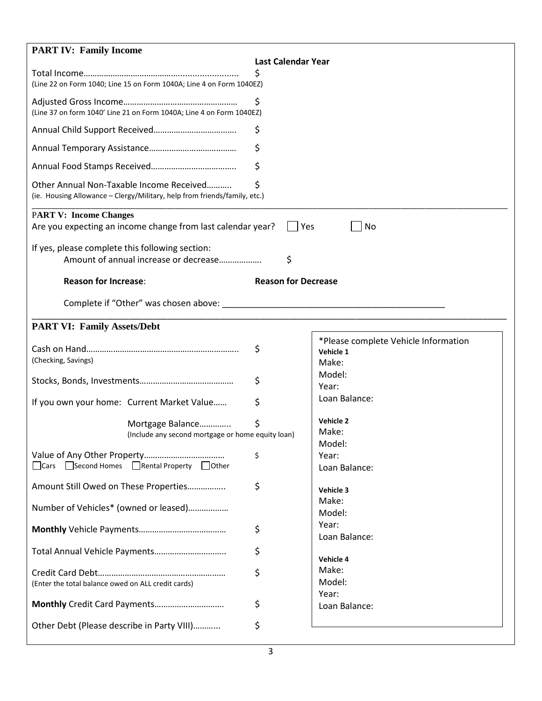| <b>PART IV: Family Income</b>                                                                                                                                                                                                  |                            |                                                   |  |  |
|--------------------------------------------------------------------------------------------------------------------------------------------------------------------------------------------------------------------------------|----------------------------|---------------------------------------------------|--|--|
|                                                                                                                                                                                                                                | <b>Last Calendar Year</b>  |                                                   |  |  |
| (Line 22 on Form 1040; Line 15 on Form 1040A; Line 4 on Form 1040EZ)                                                                                                                                                           | \$                         |                                                   |  |  |
| (Line 37 on form 1040' Line 21 on Form 1040A; Line 4 on Form 1040EZ)                                                                                                                                                           | Ş                          |                                                   |  |  |
|                                                                                                                                                                                                                                | \$                         |                                                   |  |  |
|                                                                                                                                                                                                                                | \$                         |                                                   |  |  |
|                                                                                                                                                                                                                                | \$                         |                                                   |  |  |
| \$<br>Other Annual Non-Taxable Income Received<br>(ie. Housing Allowance - Clergy/Military, help from friends/family, etc.)                                                                                                    |                            |                                                   |  |  |
| <b>PART V: Income Changes</b><br>Are you expecting an income change from last calendar year?                                                                                                                                   | Yes                        | No                                                |  |  |
| If yes, please complete this following section:<br>Amount of annual increase or decrease                                                                                                                                       | \$                         |                                                   |  |  |
| <b>Reason for Increase:</b>                                                                                                                                                                                                    | <b>Reason for Decrease</b> |                                                   |  |  |
| Complete if "Other" was chosen above: example a state of the state of the state of the state of the state of the state of the state of the state of the state of the state of the state of the state of the state of the state |                            |                                                   |  |  |
| <b>PART VI: Family Assets/Debt</b>                                                                                                                                                                                             |                            |                                                   |  |  |
| (Checking, Savings)                                                                                                                                                                                                            | \$                         | *Please complete Vehicle Information<br>Vehicle 1 |  |  |
|                                                                                                                                                                                                                                |                            | Make:                                             |  |  |
|                                                                                                                                                                                                                                | \$                         | Model:<br>Year:                                   |  |  |
| If you own your home: Current Market Value                                                                                                                                                                                     | \$                         | Loan Balance:                                     |  |  |
| Mortgage Balance                                                                                                                                                                                                               | \$                         | Vehicle 2                                         |  |  |
| (Include any second mortgage or home equity loan)                                                                                                                                                                              |                            | Make:                                             |  |  |
|                                                                                                                                                                                                                                |                            | Model:                                            |  |  |
| □Cars □Second Homes □Rental Property □Other                                                                                                                                                                                    | \$                         | Year:                                             |  |  |
|                                                                                                                                                                                                                                |                            | Loan Balance:                                     |  |  |
| Amount Still Owed on These Properties                                                                                                                                                                                          | \$                         | Vehicle 3                                         |  |  |
| Number of Vehicles* (owned or leased)                                                                                                                                                                                          |                            | Make:<br>Model:                                   |  |  |
|                                                                                                                                                                                                                                | \$                         | Year:<br>Loan Balance:                            |  |  |
| Total Annual Vehicle Payments                                                                                                                                                                                                  | \$                         |                                                   |  |  |
| (Enter the total balance owed on ALL credit cards)                                                                                                                                                                             | \$                         | Vehicle 4<br>Make:<br>Model:                      |  |  |
|                                                                                                                                                                                                                                | \$                         | Year:<br>Loan Balance:                            |  |  |
| Other Debt (Please describe in Party VIII)                                                                                                                                                                                     | \$                         |                                                   |  |  |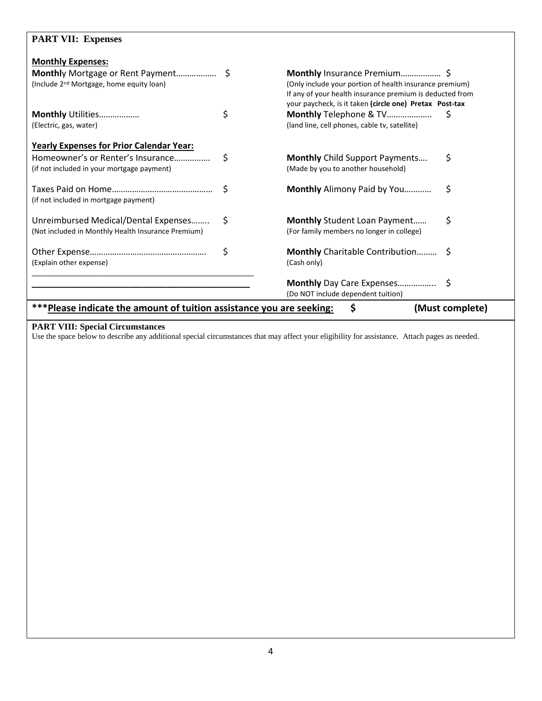| <b>PART VII: Expenses</b>                                                                  |    |                                                                                                                                                                                |
|--------------------------------------------------------------------------------------------|----|--------------------------------------------------------------------------------------------------------------------------------------------------------------------------------|
| <b>Monthly Expenses:</b>                                                                   |    |                                                                                                                                                                                |
| (Include 2 <sup>nd</sup> Mortgage, home equity loan)                                       |    | (Only include your portion of health insurance premium)<br>If any of your health insurance premium is deducted from<br>your paycheck, is it taken (circle one) Pretax Post-tax |
| Monthly Utilities<br>(Electric, gas, water)                                                | \$ | Monthly Telephone & TV<br>-S<br>(land line, cell phones, cable tv, satellite)                                                                                                  |
| <b>Yearly Expenses for Prior Calendar Year:</b>                                            |    |                                                                                                                                                                                |
| Homeowner's or Renter's Insurance<br>(if not included in your mortgage payment)            | Ŝ. | <b>Monthly</b> Child Support Payments<br>S<br>(Made by you to another household)                                                                                               |
| (if not included in mortgage payment)                                                      | Ŝ. | <b>Monthly</b> Alimony Paid by You<br>S.                                                                                                                                       |
| Unreimbursed Medical/Dental Expenses<br>(Not included in Monthly Health Insurance Premium) | \$ | \$<br><b>Monthly Student Loan Payment</b><br>(For family members no longer in college)                                                                                         |
| (Explain other expense)                                                                    | \$ | Monthly Charitable Contribution \$<br>(Cash only)                                                                                                                              |
|                                                                                            |    | (Do NOT include dependent tuition)                                                                                                                                             |
| *** Please indicate the amount of tuition assistance you are seeking:                      |    | \$<br>(Must complete)                                                                                                                                                          |

## **PART VIII: Special Circumstances**

Use the space below to describe any additional special circumstances that may affect your eligibility for assistance. Attach pages as needed.